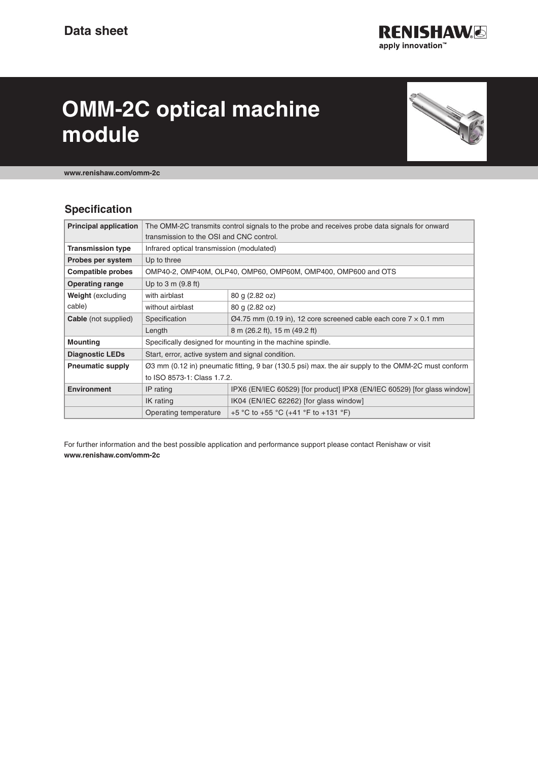

# **OMM-2C optical machine module**



**www.renishaw.com/omm-2c**

## **Specification**

| <b>Principal application</b>       | The OMM-2C transmits control signals to the probe and receives probe data signals for onward        |                                                                                     |
|------------------------------------|-----------------------------------------------------------------------------------------------------|-------------------------------------------------------------------------------------|
|                                    | transmission to the OSI and CNC control.                                                            |                                                                                     |
| <b>Transmission type</b>           | Infrared optical transmission (modulated)                                                           |                                                                                     |
| Probes per system                  | Up to three                                                                                         |                                                                                     |
| <b>Compatible probes</b>           | OMP40-2, OMP40M, OLP40, OMP60, OMP60M, OMP400, OMP600 and OTS                                       |                                                                                     |
| <b>Operating range</b>             | Up to $3 \text{ m}$ (9.8 ft)                                                                        |                                                                                     |
| <b>Weight</b> (excluding<br>cable) | with airblast                                                                                       | 80 g (2.82 oz)                                                                      |
|                                    | without airblast                                                                                    | 80 g (2.82 oz)                                                                      |
| <b>Cable</b> (not supplied)        | Specification                                                                                       | $\varnothing$ 4.75 mm (0.19 in), 12 core screened cable each core 7 $\times$ 0.1 mm |
|                                    | Length                                                                                              | 8 m (26.2 ft), 15 m (49.2 ft)                                                       |
| <b>Mounting</b>                    | Specifically designed for mounting in the machine spindle.                                          |                                                                                     |
| <b>Diagnostic LEDs</b>             | Start, error, active system and signal condition.                                                   |                                                                                     |
| <b>Pneumatic supply</b>            | Ø3 mm (0.12 in) pneumatic fitting, 9 bar (130.5 psi) max. the air supply to the OMM-2C must conform |                                                                                     |
|                                    | to ISO 8573-1: Class 1.7.2.                                                                         |                                                                                     |
| <b>Environment</b>                 | IP rating                                                                                           | IPX6 (EN/IEC 60529) [for product] IPX8 (EN/IEC 60529) [for glass window]            |
|                                    | IK rating                                                                                           | IK04 (EN/IEC 62262) [for glass window]                                              |
|                                    | Operating temperature                                                                               | +5 °C to +55 °C (+41 °F to +131 °F)                                                 |

For further information and the best possible application and performance support please contact Renishaw or visit **www.renishaw.com/omm-2c**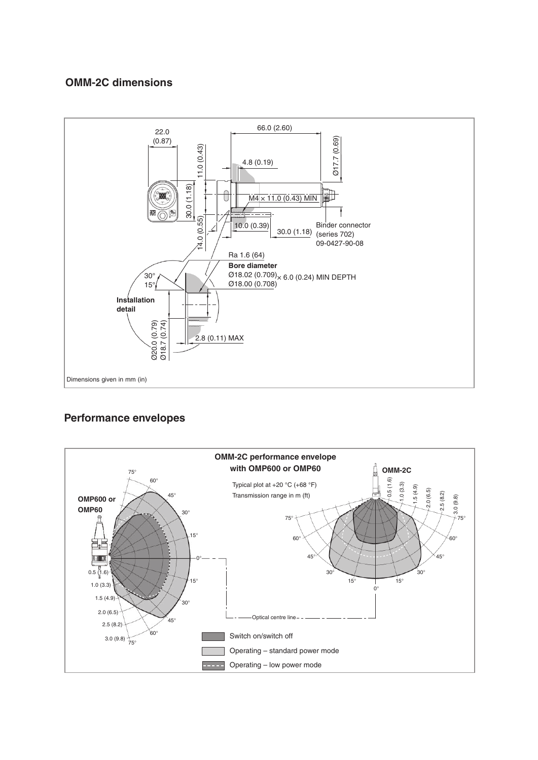#### **OMM-2C dimensions**



## **Performance envelopes**

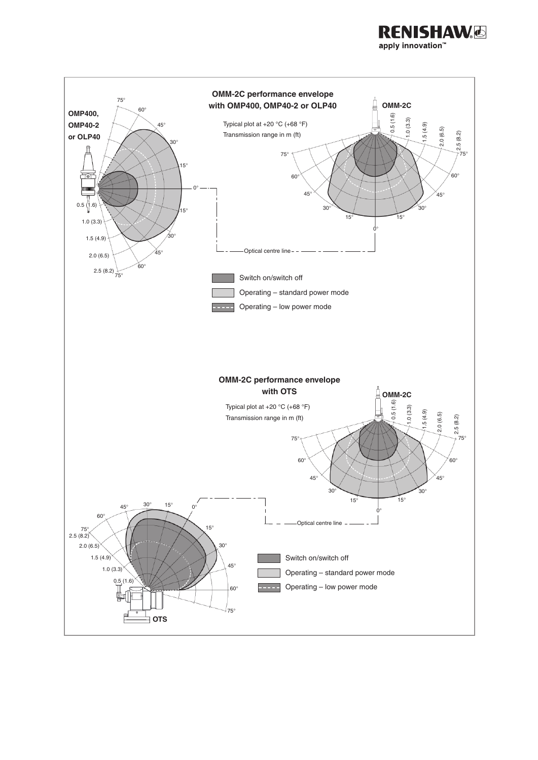